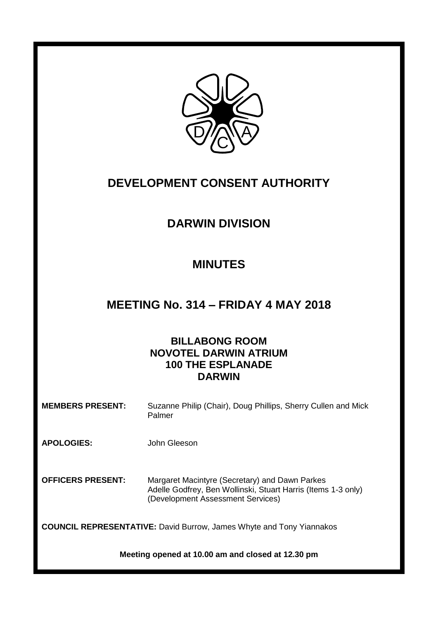

# **DEVELOPMENT CONSENT AUTHORITY**

# **DARWIN DIVISION**

# **MINUTES**

# **MEETING No. 314 – FRIDAY 4 MAY 2018**

# **BILLABONG ROOM NOVOTEL DARWIN ATRIUM 100 THE ESPLANADE DARWIN**

**MEMBERS PRESENT:** Suzanne Philip (Chair), Doug Phillips, Sherry Cullen and Mick Palmer

**APOLOGIES:** John Gleeson

**OFFICERS PRESENT:** Margaret Macintyre (Secretary) and Dawn Parkes Adelle Godfrey, Ben Wollinski, Stuart Harris (Items 1-3 only) (Development Assessment Services)

**COUNCIL REPRESENTATIVE:** David Burrow, James Whyte and Tony Yiannakos

**Meeting opened at 10.00 am and closed at 12.30 pm**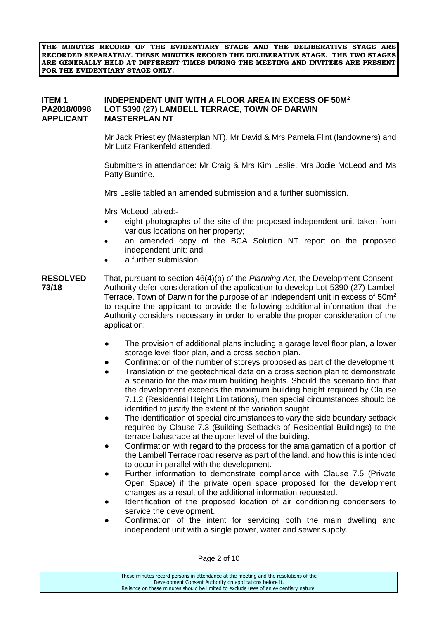**THE MINUTES RECORD OF THE EVIDENTIARY STAGE AND THE DELIBERATIVE STAGE ARE RECORDED SEPARATELY. THESE MINUTES RECORD THE DELIBERATIVE STAGE. THE TWO STAGES ARE GENERALLY HELD AT DIFFERENT TIMES DURING THE MEETING AND INVITEES ARE PRESENT FOR THE EVIDENTIARY STAGE ONLY.**

### **ITEM 1 INDEPENDENT UNIT WITH A FLOOR AREA IN EXCESS OF 50M<sup>2</sup> PA2018/0098 LOT 5390 (27) LAMBELL TERRACE, TOWN OF DARWIN APPLICANT MASTERPLAN NT**

Mr Jack Priestley (Masterplan NT), Mr David & Mrs Pamela Flint (landowners) and Mr Lutz Frankenfeld attended.

Submitters in attendance: Mr Craig & Mrs Kim Leslie, Mrs Jodie McLeod and Ms Patty Buntine.

Mrs Leslie tabled an amended submission and a further submission.

Mrs McLeod tabled:-

- eight photographs of the site of the proposed independent unit taken from various locations on her property;
- an amended copy of the BCA Solution NT report on the proposed independent unit; and
- a further submission.
- **RESOLVED** That, pursuant to section 46(4)(b) of the *Planning Act*, the Development Consent **73/18** Authority defer consideration of the application to develop Lot 5390 (27) Lambell Terrace, Town of Darwin for the purpose of an independent unit in excess of  $50<sup>m²</sup>$ to require the applicant to provide the following additional information that the Authority considers necessary in order to enable the proper consideration of the application:
	- The provision of additional plans including a garage level floor plan, a lower storage level floor plan, and a cross section plan.
	- Confirmation of the number of storeys proposed as part of the development.
	- Translation of the geotechnical data on a cross section plan to demonstrate a scenario for the maximum building heights. Should the scenario find that the development exceeds the maximum building height required by Clause 7.1.2 (Residential Height Limitations), then special circumstances should be identified to justify the extent of the variation sought.
	- The identification of special circumstances to vary the side boundary setback required by Clause 7.3 (Building Setbacks of Residential Buildings) to the terrace balustrade at the upper level of the building.
	- Confirmation with regard to the process for the amalgamation of a portion of the Lambell Terrace road reserve as part of the land, and how this is intended to occur in parallel with the development.
	- Further information to demonstrate compliance with Clause 7.5 (Private Open Space) if the private open space proposed for the development changes as a result of the additional information requested.
	- Identification of the proposed location of air conditioning condensers to service the development.
	- Confirmation of the intent for servicing both the main dwelling and independent unit with a single power, water and sewer supply.

Page 2 of 10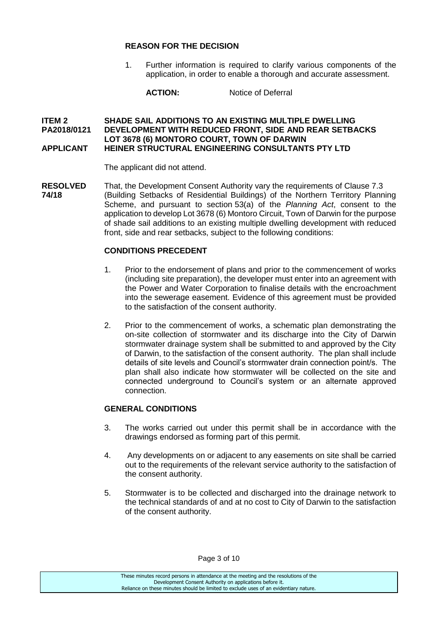### **REASON FOR THE DECISION**

1. Further information is required to clarify various components of the application, in order to enable a thorough and accurate assessment.

**ACTION:** Notice of Deferral

#### **ITEM 2 SHADE SAIL ADDITIONS TO AN EXISTING MULTIPLE DWELLING PA2018/0121 DEVELOPMENT WITH REDUCED FRONT, SIDE AND REAR SETBACKS LOT 3678 (6) MONTORO COURT, TOWN OF DARWIN APPLICANT HEINER STRUCTURAL ENGINEERING CONSULTANTS PTY LTD**

The applicant did not attend.

**RESOLVED** That, the Development Consent Authority vary the requirements of Clause 7.3 **74/18** (Building Setbacks of Residential Buildings) of the Northern Territory Planning Scheme, and pursuant to section 53(a) of the *Planning Act*, consent to the application to develop Lot 3678 (6) Montoro Circuit, Town of Darwin for the purpose of shade sail additions to an existing multiple dwelling development with reduced front, side and rear setbacks, subject to the following conditions:

# **CONDITIONS PRECEDENT**

- 1. Prior to the endorsement of plans and prior to the commencement of works (including site preparation), the developer must enter into an agreement with the Power and Water Corporation to finalise details with the encroachment into the sewerage easement. Evidence of this agreement must be provided to the satisfaction of the consent authority.
- 2. Prior to the commencement of works, a schematic plan demonstrating the on-site collection of stormwater and its discharge into the City of Darwin stormwater drainage system shall be submitted to and approved by the City of Darwin, to the satisfaction of the consent authority. The plan shall include details of site levels and Council's stormwater drain connection point/s. The plan shall also indicate how stormwater will be collected on the site and connected underground to Council's system or an alternate approved connection.

# **GENERAL CONDITIONS**

- 3. The works carried out under this permit shall be in accordance with the drawings endorsed as forming part of this permit.
- 4. Any developments on or adjacent to any easements on site shall be carried out to the requirements of the relevant service authority to the satisfaction of the consent authority.
- 5. Stormwater is to be collected and discharged into the drainage network to the technical standards of and at no cost to City of Darwin to the satisfaction of the consent authority.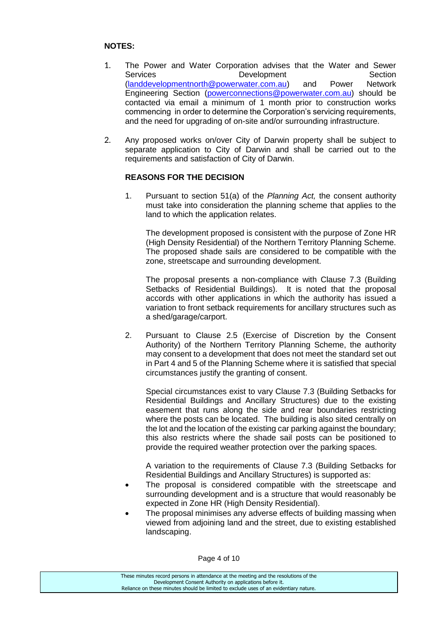# **NOTES:**

- 1. The Power and Water Corporation advises that the Water and Sewer Services Development Section [\(landdevelopmentnorth@powerwater.com.au\)](mailto:landdevelopmentnorth@powerwater.com.au) and Power Network Engineering Section [\(powerconnections@powerwater.com.au\)](mailto:powerconnections@powerwater.com.au) should be contacted via email a minimum of 1 month prior to construction works commencing in order to determine the Corporation's servicing requirements, and the need for upgrading of on-site and/or surrounding infrastructure.
- 2. Any proposed works on/over City of Darwin property shall be subject to separate application to City of Darwin and shall be carried out to the requirements and satisfaction of City of Darwin.

# **REASONS FOR THE DECISION**

1. Pursuant to section 51(a) of the *Planning Act,* the consent authority must take into consideration the planning scheme that applies to the land to which the application relates.

The development proposed is consistent with the purpose of Zone HR (High Density Residential) of the Northern Territory Planning Scheme. The proposed shade sails are considered to be compatible with the zone, streetscape and surrounding development.

The proposal presents a non-compliance with Clause 7.3 (Building Setbacks of Residential Buildings). It is noted that the proposal accords with other applications in which the authority has issued a variation to front setback requirements for ancillary structures such as a shed/garage/carport.

2. Pursuant to Clause 2.5 (Exercise of Discretion by the Consent Authority) of the Northern Territory Planning Scheme, the authority may consent to a development that does not meet the standard set out in Part 4 and 5 of the Planning Scheme where it is satisfied that special circumstances justify the granting of consent.

Special circumstances exist to vary Clause 7.3 (Building Setbacks for Residential Buildings and Ancillary Structures) due to the existing easement that runs along the side and rear boundaries restricting where the posts can be located. The building is also sited centrally on the lot and the location of the existing car parking against the boundary; this also restricts where the shade sail posts can be positioned to provide the required weather protection over the parking spaces.

A variation to the requirements of Clause 7.3 (Building Setbacks for Residential Buildings and Ancillary Structures) is supported as:

- The proposal is considered compatible with the streetscape and surrounding development and is a structure that would reasonably be expected in Zone HR (High Density Residential).
- The proposal minimises any adverse effects of building massing when viewed from adjoining land and the street, due to existing established landscaping.

Page 4 of 10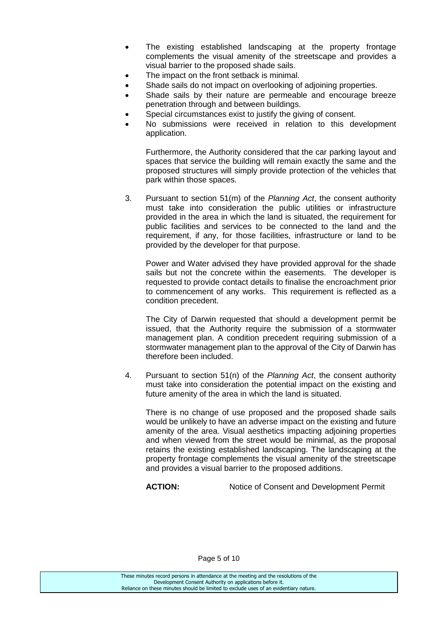- The existing established landscaping at the property frontage complements the visual amenity of the streetscape and provides a visual barrier to the proposed shade sails.
- The impact on the front setback is minimal.
- Shade sails do not impact on overlooking of adjoining properties.
- Shade sails by their nature are permeable and encourage breeze penetration through and between buildings.
- Special circumstances exist to justify the giving of consent.
- No submissions were received in relation to this development application.

Furthermore, the Authority considered that the car parking layout and spaces that service the building will remain exactly the same and the proposed structures will simply provide protection of the vehicles that park within those spaces.

3. Pursuant to section 51(m) of the *Planning Act*, the consent authority must take into consideration the public utilities or infrastructure provided in the area in which the land is situated, the requirement for public facilities and services to be connected to the land and the requirement, if any, for those facilities, infrastructure or land to be provided by the developer for that purpose.

Power and Water advised they have provided approval for the shade sails but not the concrete within the easements. The developer is requested to provide contact details to finalise the encroachment prior to commencement of any works. This requirement is reflected as a condition precedent.

The City of Darwin requested that should a development permit be issued, that the Authority require the submission of a stormwater management plan. A condition precedent requiring submission of a stormwater management plan to the approval of the City of Darwin has therefore been included.

4. Pursuant to section 51(n) of the *Planning Act*, the consent authority must take into consideration the potential impact on the existing and future amenity of the area in which the land is situated.

There is no change of use proposed and the proposed shade sails would be unlikely to have an adverse impact on the existing and future amenity of the area. Visual aesthetics impacting adjoining properties and when viewed from the street would be minimal, as the proposal retains the existing established landscaping. The landscaping at the property frontage complements the visual amenity of the streetscape and provides a visual barrier to the proposed additions.

**ACTION:** Notice of Consent and Development Permit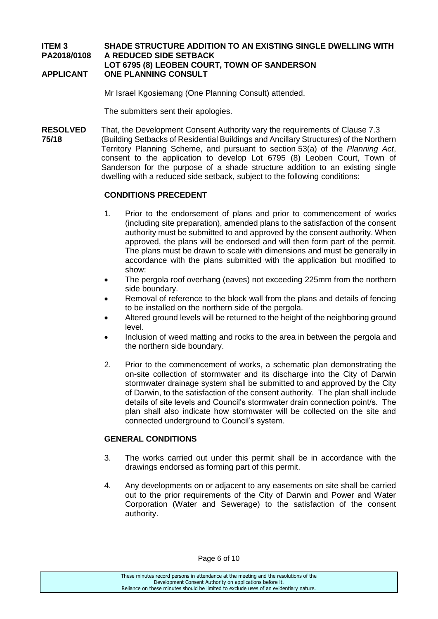# **ITEM 3 SHADE STRUCTURE ADDITION TO AN EXISTING SINGLE DWELLING WITH PA2018/0108 A REDUCED SIDE SETBACK**

### **LOT 6795 (8) LEOBEN COURT, TOWN OF SANDERSON APPLICANT ONE PLANNING CONSULT**

Mr Israel Kgosiemang (One Planning Consult) attended.

The submitters sent their apologies.

**RESOLVED** That, the Development Consent Authority vary the requirements of Clause 7.3 **75/18** (Building Setbacks of Residential Buildings and Ancillary Structures) of the Northern Territory Planning Scheme, and pursuant to section 53(a) of the *Planning Act*, consent to the application to develop Lot 6795 (8) Leoben Court, Town of Sanderson for the purpose of a shade structure addition to an existing single dwelling with a reduced side setback, subject to the following conditions:

# **CONDITIONS PRECEDENT**

- 1. Prior to the endorsement of plans and prior to commencement of works (including site preparation), amended plans to the satisfaction of the consent authority must be submitted to and approved by the consent authority. When approved, the plans will be endorsed and will then form part of the permit. The plans must be drawn to scale with dimensions and must be generally in accordance with the plans submitted with the application but modified to show:
- The pergola roof overhang (eaves) not exceeding 225mm from the northern side boundary.
- Removal of reference to the block wall from the plans and details of fencing to be installed on the northern side of the pergola.
- Altered ground levels will be returned to the height of the neighboring ground level.
- Inclusion of weed matting and rocks to the area in between the pergola and the northern side boundary.
- 2. Prior to the commencement of works, a schematic plan demonstrating the on-site collection of stormwater and its discharge into the City of Darwin stormwater drainage system shall be submitted to and approved by the City of Darwin, to the satisfaction of the consent authority. The plan shall include details of site levels and Council's stormwater drain connection point/s. The plan shall also indicate how stormwater will be collected on the site and connected underground to Council's system.

# **GENERAL CONDITIONS**

- 3. The works carried out under this permit shall be in accordance with the drawings endorsed as forming part of this permit.
- 4. Any developments on or adjacent to any easements on site shall be carried out to the prior requirements of the City of Darwin and Power and Water Corporation (Water and Sewerage) to the satisfaction of the consent authority.

These minutes record persons in attendance at the meeting and the resolutions of the Development Consent Authority on applications before it. Reliance on these minutes should be limited to exclude uses of an evidentiary nature.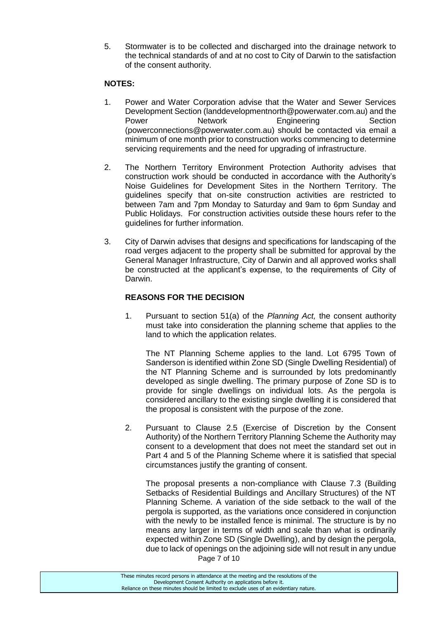5. Stormwater is to be collected and discharged into the drainage network to the technical standards of and at no cost to City of Darwin to the satisfaction of the consent authority.

### **NOTES:**

- 1. Power and Water Corporation advise that the Water and Sewer Services Development Section (landdevelopmentnorth@powerwater.com.au) and the Power **Network** Engineering Section (powerconnections@powerwater.com.au) should be contacted via email a minimum of one month prior to construction works commencing to determine servicing requirements and the need for upgrading of infrastructure.
- 2. The Northern Territory Environment Protection Authority advises that construction work should be conducted in accordance with the Authority's Noise Guidelines for Development Sites in the Northern Territory. The guidelines specify that on-site construction activities are restricted to between 7am and 7pm Monday to Saturday and 9am to 6pm Sunday and Public Holidays. For construction activities outside these hours refer to the guidelines for further information.
- 3. City of Darwin advises that designs and specifications for landscaping of the road verges adjacent to the property shall be submitted for approval by the General Manager Infrastructure, City of Darwin and all approved works shall be constructed at the applicant's expense, to the requirements of City of Darwin.

# **REASONS FOR THE DECISION**

1. Pursuant to section 51(a) of the *Planning Act,* the consent authority must take into consideration the planning scheme that applies to the land to which the application relates.

The NT Planning Scheme applies to the land. Lot 6795 Town of Sanderson is identified within Zone SD (Single Dwelling Residential) of the NT Planning Scheme and is surrounded by lots predominantly developed as single dwelling. The primary purpose of Zone SD is to provide for single dwellings on individual lots. As the pergola is considered ancillary to the existing single dwelling it is considered that the proposal is consistent with the purpose of the zone.

2. Pursuant to Clause 2.5 (Exercise of Discretion by the Consent Authority) of the Northern Territory Planning Scheme the Authority may consent to a development that does not meet the standard set out in Part 4 and 5 of the Planning Scheme where it is satisfied that special circumstances justify the granting of consent.

The proposal presents a non-compliance with Clause 7.3 (Building Setbacks of Residential Buildings and Ancillary Structures) of the NT Planning Scheme. A variation of the side setback to the wall of the pergola is supported, as the variations once considered in conjunction with the newly to be installed fence is minimal. The structure is by no means any larger in terms of width and scale than what is ordinarily expected within Zone SD (Single Dwelling), and by design the pergola, due to lack of openings on the adjoining side will not result in any undue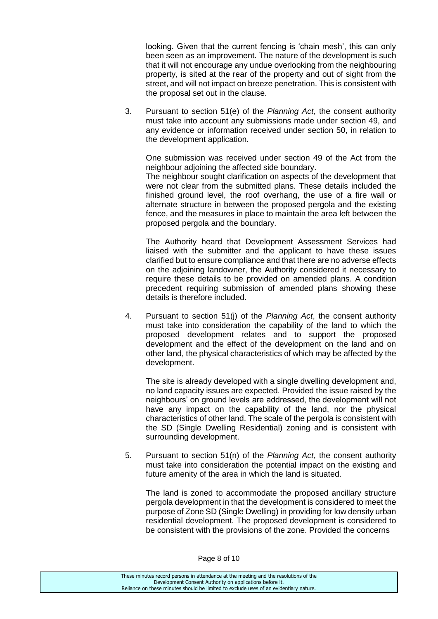looking. Given that the current fencing is 'chain mesh', this can only been seen as an improvement. The nature of the development is such that it will not encourage any undue overlooking from the neighbouring property, is sited at the rear of the property and out of sight from the street, and will not impact on breeze penetration. This is consistent with the proposal set out in the clause.

3. Pursuant to section 51(e) of the *Planning Act*, the consent authority must take into account any submissions made under section 49, and any evidence or information received under section 50, in relation to the development application.

One submission was received under section 49 of the Act from the neighbour adjoining the affected side boundary.

The neighbour sought clarification on aspects of the development that were not clear from the submitted plans. These details included the finished ground level, the roof overhang, the use of a fire wall or alternate structure in between the proposed pergola and the existing fence, and the measures in place to maintain the area left between the proposed pergola and the boundary.

The Authority heard that Development Assessment Services had liaised with the submitter and the applicant to have these issues clarified but to ensure compliance and that there are no adverse effects on the adjoining landowner, the Authority considered it necessary to require these details to be provided on amended plans. A condition precedent requiring submission of amended plans showing these details is therefore included.

4. Pursuant to section 51(j) of the *Planning Act*, the consent authority must take into consideration the capability of the land to which the proposed development relates and to support the proposed development and the effect of the development on the land and on other land, the physical characteristics of which may be affected by the development.

The site is already developed with a single dwelling development and, no land capacity issues are expected. Provided the issue raised by the neighbours' on ground levels are addressed, the development will not have any impact on the capability of the land, nor the physical characteristics of other land. The scale of the pergola is consistent with the SD (Single Dwelling Residential) zoning and is consistent with surrounding development.

5. Pursuant to section 51(n) of the *Planning Act*, the consent authority must take into consideration the potential impact on the existing and future amenity of the area in which the land is situated.

The land is zoned to accommodate the proposed ancillary structure pergola development in that the development is considered to meet the purpose of Zone SD (Single Dwelling) in providing for low density urban residential development. The proposed development is considered to be consistent with the provisions of the zone. Provided the concerns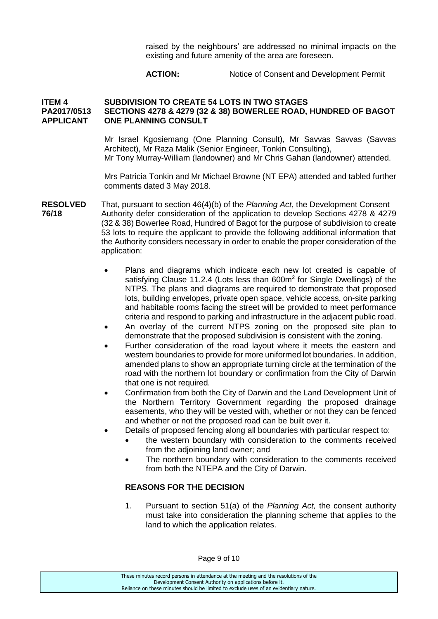raised by the neighbours' are addressed no minimal impacts on the existing and future amenity of the area are foreseen.

#### **ACTION:** Notice of Consent and Development Permit

### **ITEM 4 SUBDIVISION TO CREATE 54 LOTS IN TWO STAGES PA2017/0513 SECTIONS 4278 & 4279 (32 & 38) BOWERLEE ROAD, HUNDRED OF BAGOT APPLICANT ONE PLANNING CONSULT**

Mr Israel Kgosiemang (One Planning Consult), Mr Savvas Savvas (Savvas Architect), Mr Raza Malik (Senior Engineer, Tonkin Consulting), Mr Tony Murray-William (landowner) and Mr Chris Gahan (landowner) attended.

Mrs Patricia Tonkin and Mr Michael Browne (NT EPA) attended and tabled further comments dated 3 May 2018.

- **RESOLVED** That, pursuant to section 46(4)(b) of the *Planning Act*, the Development Consent **76/18** Authority defer consideration of the application to develop Sections 4278 & 4279 (32 & 38) Bowerlee Road, Hundred of Bagot for the purpose of subdivision to create 53 lots to require the applicant to provide the following additional information that the Authority considers necessary in order to enable the proper consideration of the application:
	- Plans and diagrams which indicate each new lot created is capable of satisfying Clause 11.2.4 (Lots less than 600m<sup>2</sup> for Single Dwellings) of the NTPS. The plans and diagrams are required to demonstrate that proposed lots, building envelopes, private open space, vehicle access, on-site parking and habitable rooms facing the street will be provided to meet performance criteria and respond to parking and infrastructure in the adjacent public road.
	- An overlay of the current NTPS zoning on the proposed site plan to demonstrate that the proposed subdivision is consistent with the zoning.
	- Further consideration of the road layout where it meets the eastern and western boundaries to provide for more uniformed lot boundaries. In addition, amended plans to show an appropriate turning circle at the termination of the road with the northern lot boundary or confirmation from the City of Darwin that one is not required.
	- Confirmation from both the City of Darwin and the Land Development Unit of the Northern Territory Government regarding the proposed drainage easements, who they will be vested with, whether or not they can be fenced and whether or not the proposed road can be built over it.
	- Details of proposed fencing along all boundaries with particular respect to:
		- the western boundary with consideration to the comments received from the adjoining land owner; and
		- The northern boundary with consideration to the comments received from both the NTEPA and the City of Darwin.

### **REASONS FOR THE DECISION**

1. Pursuant to section 51(a) of the *Planning Act,* the consent authority must take into consideration the planning scheme that applies to the land to which the application relates.

Page 9 of 10